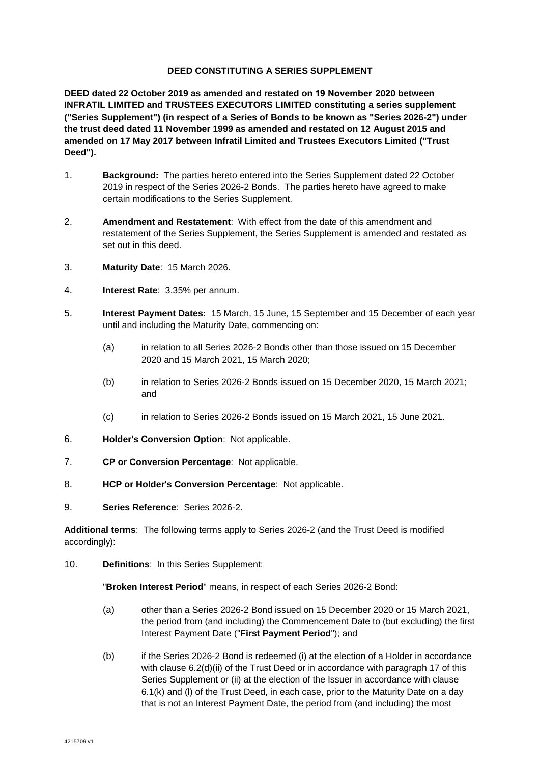## **DEED CONSTITUTING A SERIES SUPPLEMENT**

**DEED dated 22 October 2019 as amended and restated on 19 November 2020 between INFRATIL LIMITED and TRUSTEES EXECUTORS LIMITED constituting a series supplement ("Series Supplement") (in respect of a Series of Bonds to be known as "Series 2026-2") under the trust deed dated 11 November 1999 as amended and restated on 12 August 2015 and amended on 17 May 2017 between Infratil Limited and Trustees Executors Limited ("Trust Deed").** 

- 1. **Background:** The parties hereto entered into the Series Supplement dated 22 October 2019 in respect of the Series 2026-2 Bonds. The parties hereto have agreed to make certain modifications to the Series Supplement.
- 2. **Amendment and Restatement**: With effect from the date of this amendment and restatement of the Series Supplement, the Series Supplement is amended and restated as set out in this deed.
- 3. **Maturity Date**: 15 March 2026.
- 4. **Interest Rate**: 3.35% per annum.
- 5. **Interest Payment Dates:** 15 March, 15 June, 15 September and 15 December of each year until and including the Maturity Date, commencing on:
	- (a) in relation to all Series 2026-2 Bonds other than those issued on 15 December 2020 and 15 March 2021, 15 March 2020;
	- (b) in relation to Series 2026-2 Bonds issued on 15 December 2020, 15 March 2021; and
	- (c) in relation to Series 2026-2 Bonds issued on 15 March 2021, 15 June 2021.
- 6. **Holder's Conversion Option**: Not applicable.
- 7. **CP or Conversion Percentage**: Not applicable.
- 8. **HCP or Holder's Conversion Percentage**: Not applicable.
- 9. **Series Reference**: Series 2026-2.

**Additional terms**: The following terms apply to Series 2026-2 (and the Trust Deed is modified accordingly):

10. **Definitions**: In this Series Supplement:

"**Broken Interest Period**" means, in respect of each Series 2026-2 Bond:

- (a) other than a Series 2026-2 Bond issued on 15 December 2020 or 15 March 2021, the period from (and including) the Commencement Date to (but excluding) the first Interest Payment Date ("**First Payment Period**"); and
- (b) if the Series 2026-2 Bond is redeemed (i) at the election of a Holder in accordance with clause 6.2(d)(ii) of the Trust Deed or in accordance with paragraph 17 of this Series Supplement or (ii) at the election of the Issuer in accordance with clause 6.1(k) and (l) of the Trust Deed, in each case, prior to the Maturity Date on a day that is not an Interest Payment Date, the period from (and including) the most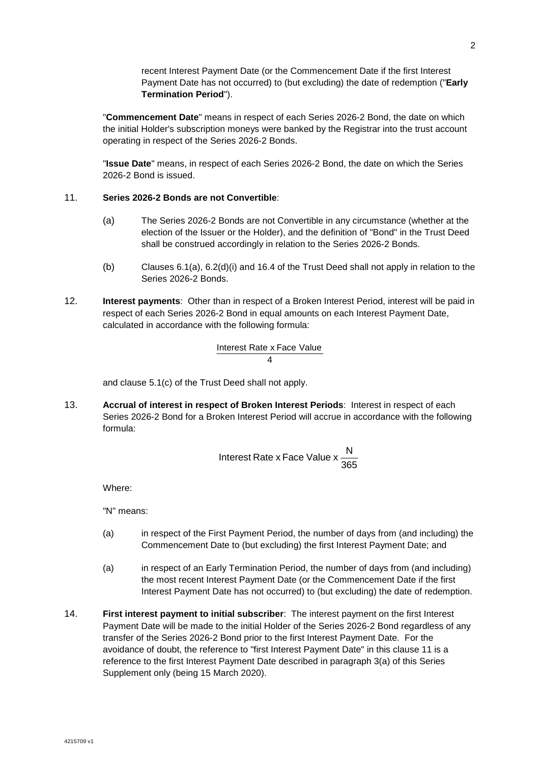recent Interest Payment Date (or the Commencement Date if the first Interest Payment Date has not occurred) to (but excluding) the date of redemption ("**Early Termination Period**").

"**Commencement Date**" means in respect of each Series 2026-2 Bond, the date on which the initial Holder's subscription moneys were banked by the Registrar into the trust account operating in respect of the Series 2026-2 Bonds.

"**Issue Date**" means, in respect of each Series 2026-2 Bond, the date on which the Series 2026-2 Bond is issued.

## 11. **Series 2026-2 Bonds are not Convertible**:

- (a) The Series 2026-2 Bonds are not Convertible in any circumstance (whether at the election of the Issuer or the Holder), and the definition of "Bond" in the Trust Deed shall be construed accordingly in relation to the Series 2026-2 Bonds.
- (b) Clauses 6.1(a), 6.2(d)(i) and 16.4 of the Trust Deed shall not apply in relation to the Series 2026-2 Bonds.
- 12. **Interest payments**: Other than in respect of a Broken Interest Period, interest will be paid in respect of each Series 2026-2 Bond in equal amounts on each Interest Payment Date, calculated in accordance with the following formula:

$$
\frac{\text{Interest Rate} \times \text{Face Value}}{4}
$$

and clause 5.1(c) of the Trust Deed shall not apply.

13. **Accrual of interest in respect of Broken Interest Periods**: Interest in respect of each Series 2026-2 Bond for a Broken Interest Period will accrue in accordance with the following formula:

Interest Rate x Face Value 
$$
x \frac{N}{365}
$$

Where:

"N" means:

- (a) in respect of the First Payment Period, the number of days from (and including) the Commencement Date to (but excluding) the first Interest Payment Date; and
- (a) in respect of an Early Termination Period, the number of days from (and including) the most recent Interest Payment Date (or the Commencement Date if the first Interest Payment Date has not occurred) to (but excluding) the date of redemption.
- 14. **First interest payment to initial subscriber**: The interest payment on the first Interest Payment Date will be made to the initial Holder of the Series 2026-2 Bond regardless of any transfer of the Series 2026-2 Bond prior to the first Interest Payment Date. For the avoidance of doubt, the reference to "first Interest Payment Date" in this clause 11 is a reference to the first Interest Payment Date described in paragraph 3(a) of this Series Supplement only (being 15 March 2020).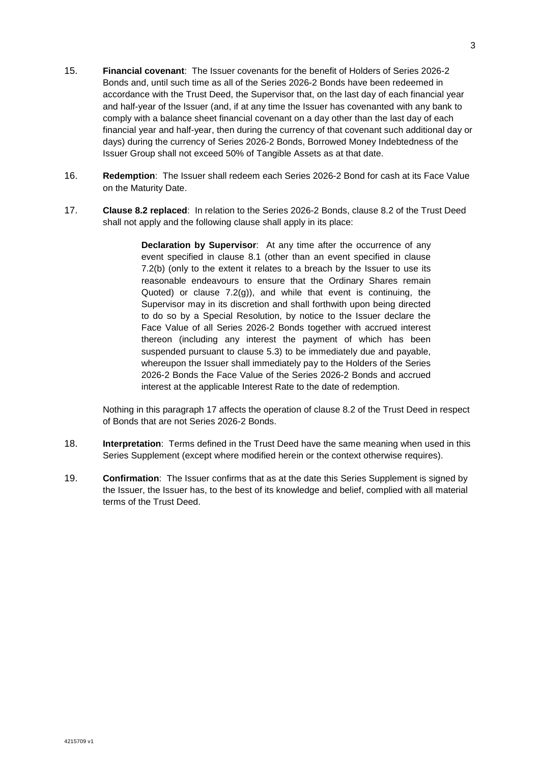- 15. **Financial covenant**: The Issuer covenants for the benefit of Holders of Series 2026-2 Bonds and, until such time as all of the Series 2026-2 Bonds have been redeemed in accordance with the Trust Deed, the Supervisor that, on the last day of each financial year and half-year of the Issuer (and, if at any time the Issuer has covenanted with any bank to comply with a balance sheet financial covenant on a day other than the last day of each financial year and half-year, then during the currency of that covenant such additional day or days) during the currency of Series 2026-2 Bonds, Borrowed Money Indebtedness of the Issuer Group shall not exceed 50% of Tangible Assets as at that date.
- 16. **Redemption**: The Issuer shall redeem each Series 2026-2 Bond for cash at its Face Value on the Maturity Date.
- 17. **Clause 8.2 replaced**: In relation to the Series 2026-2 Bonds, clause 8.2 of the Trust Deed shall not apply and the following clause shall apply in its place:

**Declaration by Supervisor**: At any time after the occurrence of any event specified in clause 8.1 (other than an event specified in clause 7.2(b) (only to the extent it relates to a breach by the Issuer to use its reasonable endeavours to ensure that the Ordinary Shares remain Quoted) or clause 7.2(g)), and while that event is continuing, the Supervisor may in its discretion and shall forthwith upon being directed to do so by a Special Resolution, by notice to the Issuer declare the Face Value of all Series 2026-2 Bonds together with accrued interest thereon (including any interest the payment of which has been suspended pursuant to clause 5.3) to be immediately due and payable, whereupon the Issuer shall immediately pay to the Holders of the Series 2026-2 Bonds the Face Value of the Series 2026-2 Bonds and accrued interest at the applicable Interest Rate to the date of redemption.

Nothing in this paragraph 17 affects the operation of clause 8.2 of the Trust Deed in respect of Bonds that are not Series 2026-2 Bonds.

- 18. **Interpretation**: Terms defined in the Trust Deed have the same meaning when used in this Series Supplement (except where modified herein or the context otherwise requires).
- 19. **Confirmation**: The Issuer confirms that as at the date this Series Supplement is signed by the Issuer, the Issuer has, to the best of its knowledge and belief, complied with all material terms of the Trust Deed.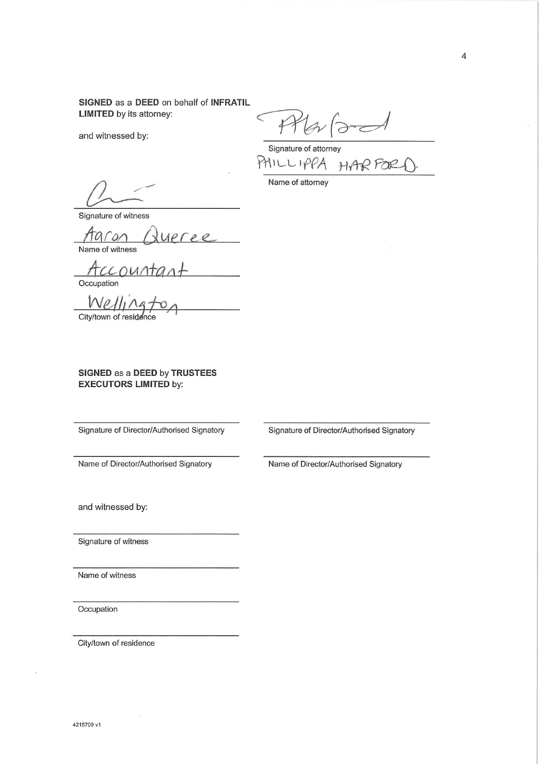SIGNED as a DEED on behalf of INFRATIL **LIMITED** by its attorney:

and witnessed by:

 $\overleftarrow{\sigma}$ 

Signature of attorney PHILLIPPA HAR FOR

Name of attorney

Signature of witness

Aaron Name of witness

Occupation

 $W$ e City/town of residence

SIGNED as a DEED by TRUSTEES **EXECUTORS LIMITED by:** 

Signature of Director/Authorised Signatory

Signature of Director/Authorised Signatory

Name of Director/Authorised Signatory

Name of Director/Authorised Signatory

and witnessed by:

Signature of witness

Name of witness

Occupation

City/town of residence